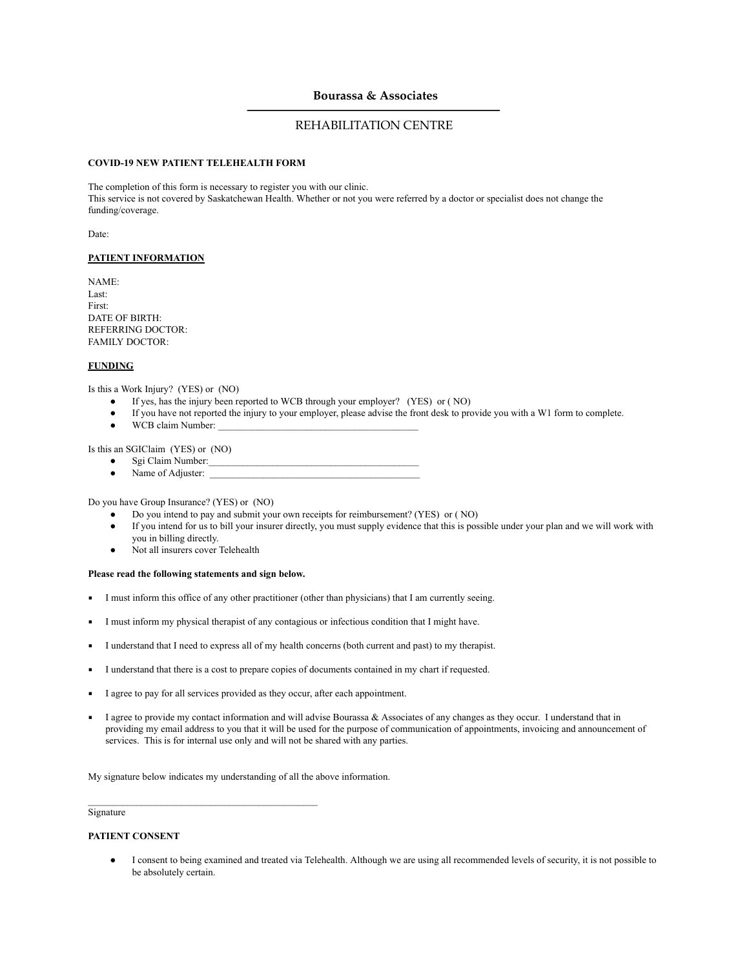# **Bourassa & Associates**

# REHABILITATION CENTRE

## **COVID-19 NEW PATIENT TELEHEALTH FORM**

The completion of this form is necessary to register you with our clinic. This service is not covered by Saskatchewan Health. Whether or not you were referred by a doctor or specialist does not change the funding/coverage.

Date:

## **PATIENT INFORMATION**

NAME: Last: First: DATE OF BIRTH: REFERRING DOCTOR: FAMILY DOCTOR:

#### **FUNDING**

Is this a Work Injury? (YES) or (NO)

- If yes, has the injury been reported to WCB through your employer? (YES) or (NO)
- If you have not reported the injury to your employer, please advise the front desk to provide you with a W1 form to complete.
- WCB claim Number:

Is this an SGIClaim (YES) or (NO)

- Sgi Claim Number:
- Name of Adjuster:

Do you have Group Insurance? (YES) or (NO)

- Do you intend to pay and submit your own receipts for reimbursement? (YES) or ( NO)
- If you intend for us to bill your insurer directly, you must supply evidence that this is possible under your plan and we will work with you in billing directly.
- Not all insurers cover Telehealth

#### **Please read the following statements and sign below.**

- I must inform this office of any other practitioner (other than physicians) that I am currently seeing.
- I must inform my physical therapist of any contagious or infectious condition that I might have.
- I understand that I need to express all of my health concerns (both current and past) to my therapist.
- I understand that there is a cost to prepare copies of documents contained in my chart if requested.
- I agree to pay for all services provided as they occur, after each appointment.
- I agree to provide my contact information and will advise Bourassa & Associates of any changes as they occur. I understand that in providing my email address to you that it will be used for the purpose of communication of appointments, invoicing and announcement of services. This is for internal use only and will not be shared with any parties.

My signature below indicates my understanding of all the above information.

 $\mathcal{L}_\text{max}$  and  $\mathcal{L}_\text{max}$  and  $\mathcal{L}_\text{max}$  and  $\mathcal{L}_\text{max}$  and  $\mathcal{L}_\text{max}$ 

Signature

#### **PATIENT CONSENT**

I consent to being examined and treated via Telehealth. Although we are using all recommended levels of security, it is not possible to be absolutely certain.